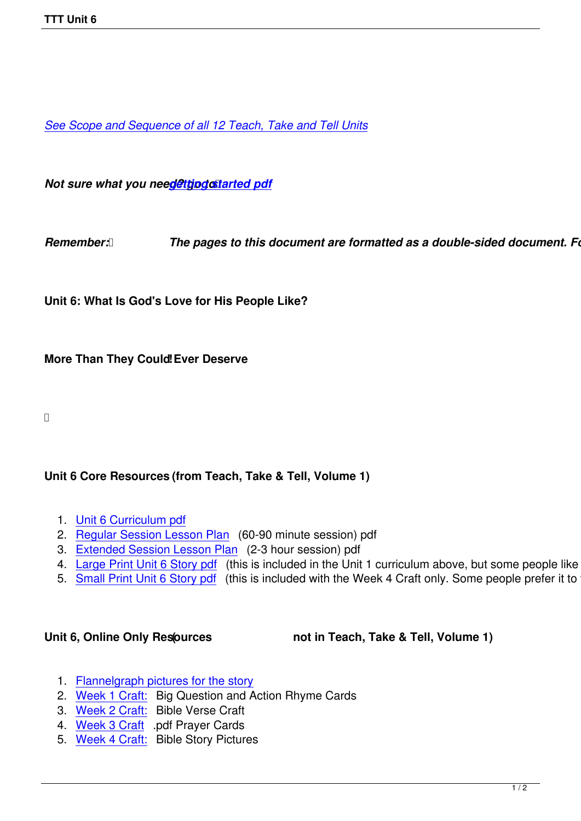*See Scope and Sequence of all 12 Teach, Take and Tell Units*

*Not sure what you need@ttjpgcstarted pdf* 

*Remember: <b><i>[The pages to this d](images/TTT/8 4 11 TTT/New TTT Website Documents/TTT Book portions/2nd GEtting Started.pdf)ocument are formatted as a double-sided document. Follo* 

**Unit 6: What Is God's Love for His People Like?**

**More Than They Could! Ever Deserve** 

## **Unit 6 Core Resources (from Teach, Take & Tell, Volume 1)**

- 1. Unit 6 Curriculum pdf
- 2. Regular Session Lesson Plan (60-90 minute session) pdf
- 3. Extended Session Lesson Plan (2-3 hour session) pdf
- 4. [Large Print Unit 6 Sto](images/TTT/8 4 11 TTT/Unit 6/Unit 6/4th Unit 6 TTT Curr Portion.pdf)ry pdf (this is included in the Unit 1 curriculum above, but some people like to just
- 5. [Small Print Unit 6 Story pdf \(t](images/TTT/8 4 11 TTT/Unit 6/Unit 6/2nd LP R.pdf)his is included with the Week 4 Craft only. Some people prefer it to the

Unit 6, Online Only Resources **(1)** not in Teach, Take & Tell, Volume 1)

- 1. Flannelgraph pictures for the story
- 2. Week 1 Craft: Big Question and Action Rhyme Cards
- 3. Week 2 Craft: Bible Verse Craft
- 4. [Week 3 Craft .pdf Prayer Cards](images/TTT/8 4 11 TTT/Unit 6/Unit 6/Pics 6.pdf)
- 5. [Week 4 Craft:](images/TTT/8 4 11 TTT/Unit 6/Unit 6/Week 1 Craft.pdf) Bible Story Pictures